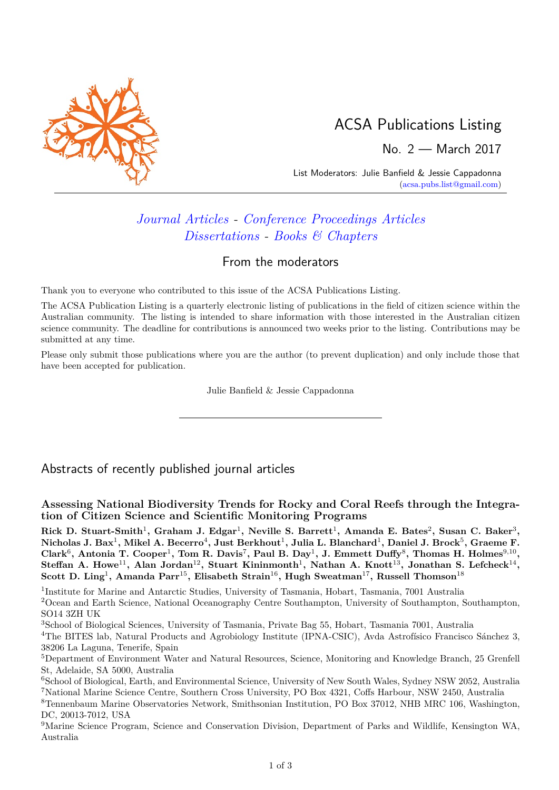

# ACSA Publications Listing

No. 2 — March 2017

List Moderators: Julie Banfield & Jessie Cappadonna [\(acsa.pubs.list@gmail.com\)](mailto:acsa.pubs.list@gmail.com)

## *[Journal Articles](#page-0-0) - [Conference Proceedings Articles](#page-2-0) [Dissertations](#page-2-1) - [Books & Chapters](#page-2-2)*

### From the moderators

Thank you to everyone who contributed to this issue of the ACSA Publications Listing.

The ACSA Publication Listing is a quarterly electronic listing of publications in the field of citizen science within the Australian community. The listing is intended to share information with those interested in the Australian citizen science community. The deadline for contributions is announced two weeks prior to the listing. Contributions may be submitted at any time.

Please only submit those publications where you are the author (to prevent duplication) and only include those that have been accepted for publication.

Julie Banfield & Jessie Cappadonna

<span id="page-0-0"></span>Abstracts of recently published journal articles

**Assessing National Biodiversity Trends for Rocky and Coral Reefs through the Integration of Citizen Science and Scientific Monitoring Programs**

 $\text{Rick D. Stuart-Smith}^1, \text{ Graham J. Edgar}^1, \text{ Neville S. Barrett}^1, \text{ Amanda E. Bates}^2, \text{Susan C. Baker}^3,$  $N$ icholas J. Bax<sup>1</sup>, Mikel A. Becerro $^4$ , Just Berkhout $^1$ , Julia L. Blanchard $^1$ , Daniel J. Brock $^5$ , Graeme F. Clark<sup>6</sup>, Antonia T. Cooper<sup>1</sup>, Tom R. Davis<sup>7</sup>, Paul B. Day<sup>1</sup>, J. Emmett Duffy<sup>8</sup>, Thomas H. Holmes<sup>9,10</sup>,  $\text{Steffan A. Howe}^{11}, \text{ Alan Jordan}^{12}, \text{ Stuart Kininmonth}^{1}, \text{Nathan A. Knott}^{13}, \text{ Jonathan S. Lefcheck}^{14},$  $\rm Scott~D.~Ling<sup>1</sup>, Amanda~Parr<sup>15</sup>, Elisabeth Strain<sup>16</sup>, Hugh Sweatman<sup>17</sup>, Russell Thomson<sup>18</sup>$ 

<sup>1</sup>Institute for Marine and Antarctic Studies, University of Tasmania, Hobart, Tasmania, 7001 Australia

<sup>2</sup>Ocean and Earth Science, National Oceanography Centre Southampton, University of Southampton, Southampton, SO14 3ZH UK

<sup>3</sup>School of Biological Sciences, University of Tasmania, Private Bag 55, Hobart, Tasmania 7001, Australia

<sup>4</sup>The BITES lab, Natural Products and Agrobiology Institute (IPNA-CSIC), Avda Astrofísico Francisco Sánchez 3, 38206 La Laguna, Tenerife, Spain

<sup>5</sup>Department of Environment Water and Natural Resources, Science, Monitoring and Knowledge Branch, 25 Grenfell St, Adelaide, SA 5000, Australia

<sup>&</sup>lt;sup>6</sup>School of Biological, Earth, and Environmental Science, University of New South Wales, Sydney NSW 2052, Australia <sup>7</sup>National Marine Science Centre, Southern Cross University, PO Box 4321, Coffs Harbour, NSW 2450, Australia

<sup>8</sup>Tennenbaum Marine Observatories Network, Smithsonian Institution, PO Box 37012, NHB MRC 106, Washington, DC, 20013-7012, USA

<sup>9</sup>Marine Science Program, Science and Conservation Division, Department of Parks and Wildlife, Kensington WA, Australia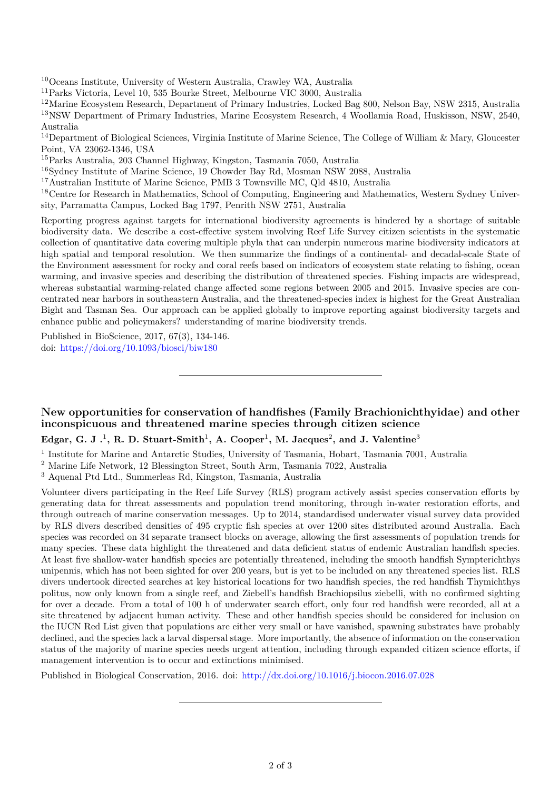<sup>10</sup>Oceans Institute, University of Western Australia, Crawley WA, Australia

 $^{11}\rm{Parks}$ Victoria, Level 10, 535 Bourke Street, Melbourne VIC 3000, Australia

<sup>12</sup>Marine Ecosystem Research, Department of Primary Industries, Locked Bag 800, Nelson Bay, NSW 2315, Australia <sup>13</sup>NSW Department of Primary Industries, Marine Ecosystem Research, 4 Woollamia Road, Huskisson, NSW, 2540, Australia

<sup>14</sup>Department of Biological Sciences, Virginia Institute of Marine Science, The College of William & Mary, Gloucester Point, VA 23062-1346, USA

<sup>15</sup>Parks Australia, 203 Channel Highway, Kingston, Tasmania 7050, Australia

<sup>16</sup>Sydney Institute of Marine Science, 19 Chowder Bay Rd, Mosman NSW 2088, Australia

<sup>17</sup>Australian Institute of Marine Science, PMB 3 Townsville MC, Qld 4810, Australia

<sup>18</sup>Centre for Research in Mathematics, School of Computing, Engineering and Mathematics, Western Sydney University, Parramatta Campus, Locked Bag 1797, Penrith NSW 2751, Australia

Reporting progress against targets for international biodiversity agreements is hindered by a shortage of suitable biodiversity data. We describe a cost-effective system involving Reef Life Survey citizen scientists in the systematic collection of quantitative data covering multiple phyla that can underpin numerous marine biodiversity indicators at high spatial and temporal resolution. We then summarize the findings of a continental- and decadal-scale State of the Environment assessment for rocky and coral reefs based on indicators of ecosystem state relating to fishing, ocean warming, and invasive species and describing the distribution of threatened species. Fishing impacts are widespread, whereas substantial warming-related change affected some regions between 2005 and 2015. Invasive species are concentrated near harbors in southeastern Australia, and the threatened-species index is highest for the Great Australian Bight and Tasman Sea. Our approach can be applied globally to improve reporting against biodiversity targets and enhance public and policymakers? understanding of marine biodiversity trends.

Published in BioScience, 2017, 67(3), 134-146. doi: <https://doi.org/10.1093/biosci/biw180>

### **New opportunities for conservation of handfishes (Family Brachionichthyidae) and other inconspicuous and threatened marine species through citizen science**

#### **Edgar, G. J .**<sup>1</sup> **, R. D. Stuart-Smith**<sup>1</sup> **, A. Cooper**<sup>1</sup> **, M. Jacques**<sup>2</sup> **, and J. Valentine**<sup>3</sup>

<sup>1</sup> Institute for Marine and Antarctic Studies, University of Tasmania, Hobart, Tasmania 7001, Australia

<sup>3</sup> Aquenal Ptd Ltd., Summerleas Rd, Kingston, Tasmania, Australia

Volunteer divers participating in the Reef Life Survey (RLS) program actively assist species conservation efforts by generating data for threat assessments and population trend monitoring, through in-water restoration efforts, and through outreach of marine conservation messages. Up to 2014, standardised underwater visual survey data provided by RLS divers described densities of 495 cryptic fish species at over 1200 sites distributed around Australia. Each species was recorded on 34 separate transect blocks on average, allowing the first assessments of population trends for many species. These data highlight the threatened and data deficient status of endemic Australian handfish species. At least five shallow-water handfish species are potentially threatened, including the smooth handfish Sympterichthys unipennis, which has not been sighted for over 200 years, but is yet to be included on any threatened species list. RLS divers undertook directed searches at key historical locations for two handfish species, the red handfish Thymichthys politus, now only known from a single reef, and Ziebell's handfish Brachiopsilus ziebelli, with no confirmed sighting for over a decade. From a total of 100 h of underwater search effort, only four red handfish were recorded, all at a site threatened by adjacent human activity. These and other handfish species should be considered for inclusion on the IUCN Red List given that populations are either very small or have vanished, spawning substrates have probably declined, and the species lack a larval dispersal stage. More importantly, the absence of information on the conservation status of the majority of marine species needs urgent attention, including through expanded citizen science efforts, if management intervention is to occur and extinctions minimised.

Published in Biological Conservation, 2016. doi: <http://dx.doi.org/10.1016/j.biocon.2016.07.028>

<sup>2</sup> Marine Life Network, 12 Blessington Street, South Arm, Tasmania 7022, Australia